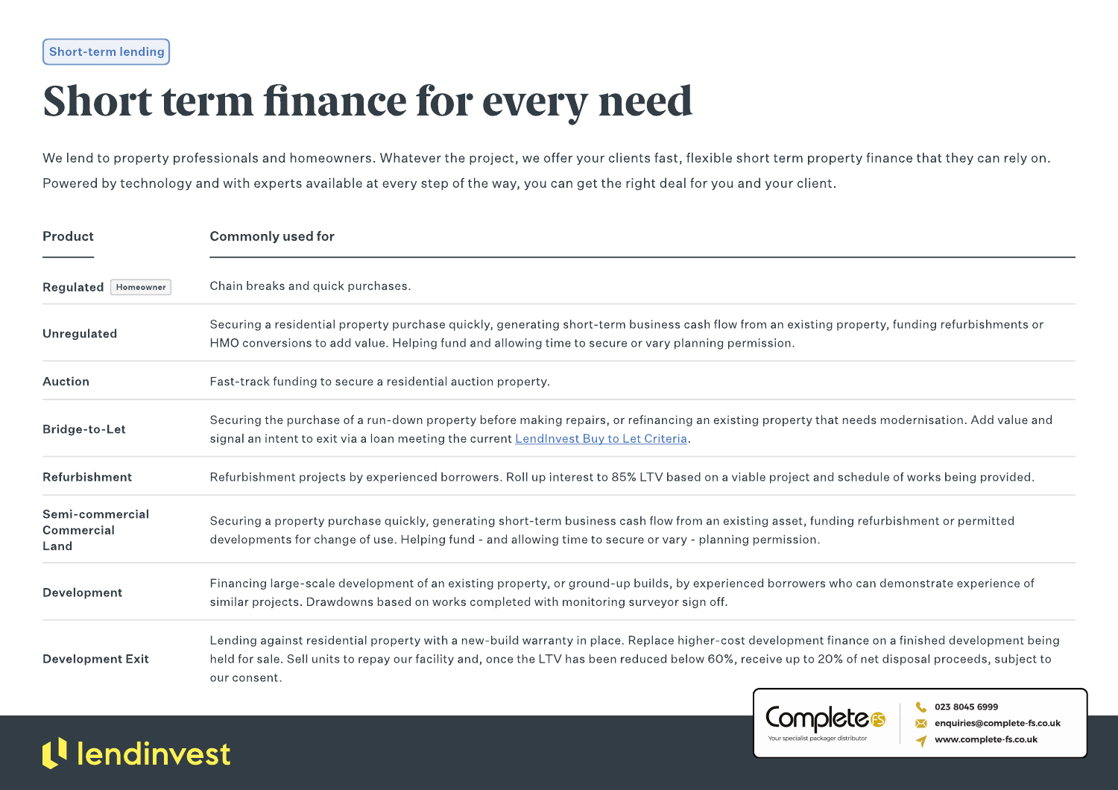### Short term finance for every need

We lend to property professionals and homeowners. Whatever the project, we offer your clients fast, flexible short term property finance that they can rely on. Powered by technology and with experts available at every step of the way, you can get the right deal for you and your client.

| Product                               | <b>Commonly used for</b>                                                                                                                                                                                                                                                                                                 |  |  |  |  |  |
|---------------------------------------|--------------------------------------------------------------------------------------------------------------------------------------------------------------------------------------------------------------------------------------------------------------------------------------------------------------------------|--|--|--|--|--|
| Regulated   Homeowner                 | Chain breaks and quick purchases.                                                                                                                                                                                                                                                                                        |  |  |  |  |  |
| Unregulated                           | Securing a residential property purchase quickly, generating short-term business cash flow from an existing property, funding refurbishments or<br>HMO conversions to add value. Helping fund and allowing time to secure or vary planning permission.                                                                   |  |  |  |  |  |
| <b>Auction</b>                        | Fast-track funding to secure a residential auction property.                                                                                                                                                                                                                                                             |  |  |  |  |  |
| Bridge-to-Let                         | Securing the purchase of a run-down property before making repairs, or refinancing an existing property that needs modernisation. Add value and<br>signal an intent to exit via a loan meeting the current LendInvest Buy to Let Criteria.                                                                               |  |  |  |  |  |
| Refurbishment                         | Refurbishment projects by experienced borrowers. Roll up interest to 85% LTV based on a viable project and schedule of works being provided.                                                                                                                                                                             |  |  |  |  |  |
| Semi-commercial<br>Commercial<br>Land | Securing a property purchase quickly, generating short-term business cash flow from an existing asset, funding refurbishment or permitted<br>developments for change of use. Helping fund - and allowing time to secure or vary - planning permission.                                                                   |  |  |  |  |  |
| Development                           | Financing large-scale development of an existing property, or ground-up builds, by experienced borrowers who can demonstrate experience of<br>similar projects. Drawdowns based on works completed with monitoring surveyor sign off.                                                                                    |  |  |  |  |  |
| <b>Development Exit</b>               | Lending against residential property with a new-build warranty in place. Replace higher-cost development finance on a finished development being<br>held for sale. Sell units to repay our facility and, once the LTV has been reduced below 60%, receive up to 20% of net disposal proceeds, subject to<br>our consent. |  |  |  |  |  |

0203 846 6886 | enquiries@lendinvest.com | Last updated: 22/ 2/202

Completes

Your specialist packager distribut-

023 8045 6999

enquiries@complete-fs.co.uk

www.complete-fs.co.uk

#### tlendinvest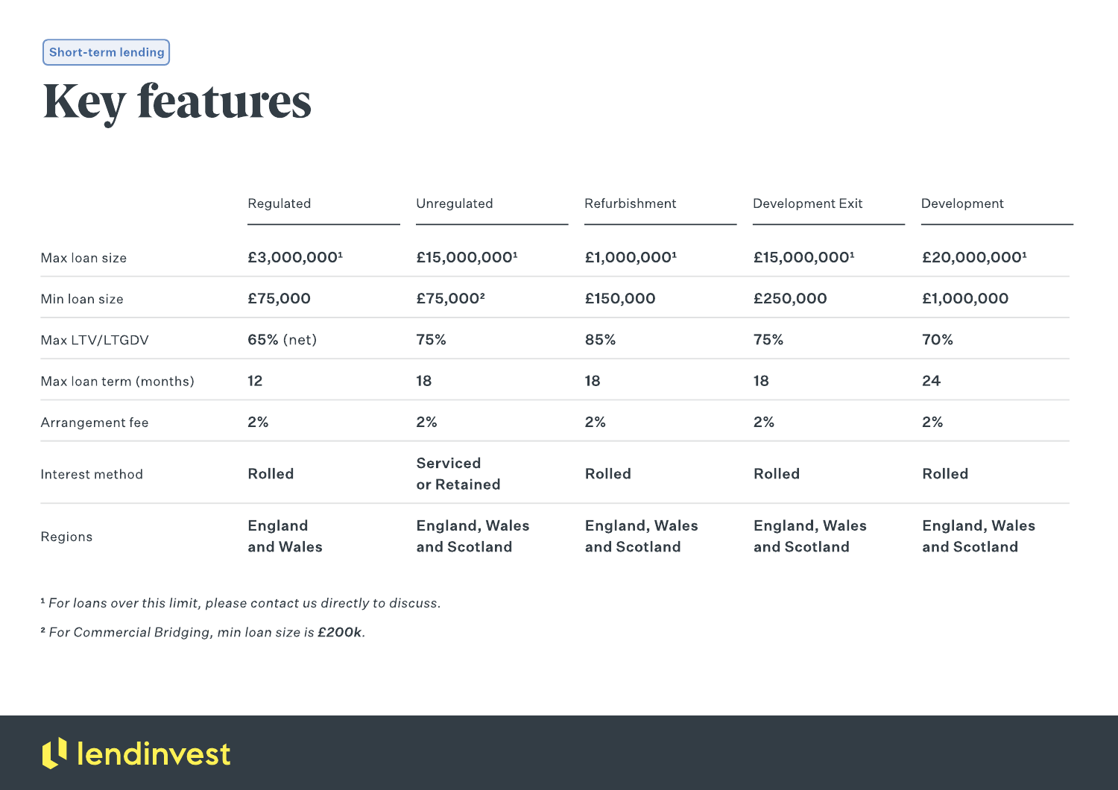#### Short-term lending

### Key features

| Regions                | England<br>and Wales    | <b>England, Wales</b><br>and Scotland | <b>England, Wales</b><br>and Scotland | <b>England, Wales</b><br>and Scotland | <b>England, Wales</b><br>and Scotland |
|------------------------|-------------------------|---------------------------------------|---------------------------------------|---------------------------------------|---------------------------------------|
| Interest method        | <b>Rolled</b>           | <b>Serviced</b><br>or Retained        | <b>Rolled</b>                         | <b>Rolled</b>                         | <b>Rolled</b>                         |
| Arrangement fee        | 2%                      | 2%                                    | 2%                                    | 2%                                    | 2%                                    |
| Max loan term (months) | 12                      | 18                                    | 18                                    | 18                                    | 24                                    |
| Max LTV/LTGDV          | 65% (net)               | 75%                                   | 85%                                   | 75%                                   | 70%                                   |
| Min Ioan size          | £75,000                 | £75,000 <sup>2</sup>                  | £150,000                              | £250,000                              | £1,000,000                            |
| Max loan size          | £3,000,000 <sup>1</sup> | £15,000,000 <sup>1</sup>              | £1,000,000 <sup>1</sup>               | £15,000,000 <sup>1</sup>              | £20,000,000 <sup>1</sup>              |
|                        | Regulated               | Unregulated                           | Refurbishment                         | Development Exit                      | Development                           |

1 For loans over this limit, please contact us directly to discuss.

<sup>2</sup> For Commercial Bridging, min loan size is £200k.

### <sup>1</sup> lendinvest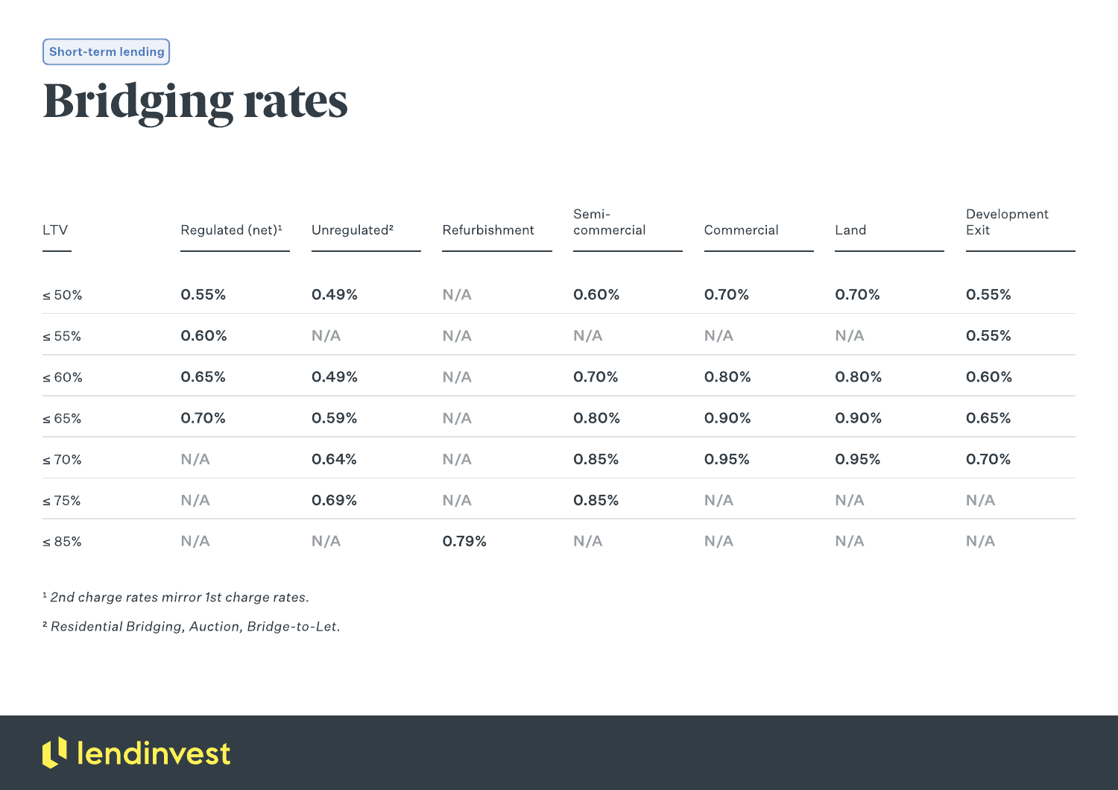Short-term lending

# Bridging rates

| <b>LTV</b>  | Regulated (net) <sup>1</sup> | Unregulated <sup>2</sup> | Refurbishment | Semi-<br>commercial | Commercial | Land  | Development<br>Exit |
|-------------|------------------------------|--------------------------|---------------|---------------------|------------|-------|---------------------|
| $\leq 50\%$ | 0.55%                        | 0.49%                    | N/A           | 0.60%               | 0.70%      | 0.70% | 0.55%               |
| $\leq 55\%$ | 0.60%                        | N/A                      | N/A           | N/A                 | N/A        | N/A   | 0.55%               |
| $\leq 60\%$ | 0.65%                        | 0.49%                    | N/A           | 0.70%               | 0.80%      | 0.80% | 0.60%               |
| $\leq 65\%$ | 0.70%                        | 0.59%                    | N/A           | 0.80%               | 0.90%      | 0.90% | 0.65%               |
| $\leq 70\%$ | N/A                          | 0.64%                    | N/A           | 0.85%               | 0.95%      | 0.95% | 0.70%               |
| $\leq 75\%$ | N/A                          | 0.69%                    | N/A           | 0.85%               | N/A        | N/A   | N/A                 |
| $\leq 85\%$ | N/A                          | N/A                      | 0.79%         | N/A                 | N/A        | N/A   | N/A                 |

<sup>1</sup> 2nd charge rates mirror 1st charge rates.

2 Residential Bridging, Auction, Bridge-to-Let.

#### tl lendinvest